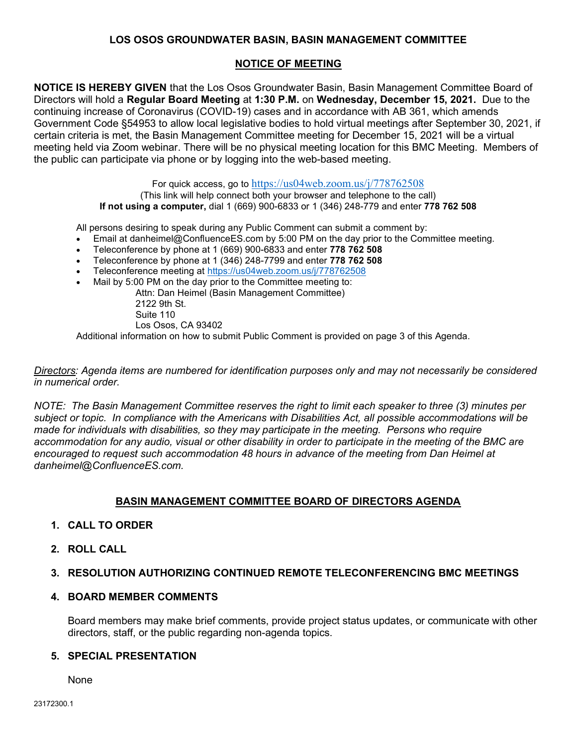## LOS OSOS GROUNDWATER BASIN, BASIN MANAGEMENT COMMITTEE

# NOTICE OF MEETING

NOTICE IS HEREBY GIVEN that the Los Osos Groundwater Basin, Basin Management Committee Board of Directors will hold a Regular Board Meeting at 1:30 P.M. on Wednesday, December 15, 2021. Due to the continuing increase of Coronavirus (COVID-19) cases and in accordance with AB 361, which amends Government Code §54953 to allow local legislative bodies to hold virtual meetings after September 30, 2021, if certain criteria is met, the Basin Management Committee meeting for December 15, 2021 will be a virtual meeting held via Zoom webinar. There will be no physical meeting location for this BMC Meeting. Members of the public can participate via phone or by logging into the web-based meeting.

> For quick access, go to https://us04web.zoom.us/j/778762508 (This link will help connect both your browser and telephone to the call) If not using a computer, dial 1 (669) 900-6833 or 1 (346) 248-779 and enter 778 762 508

All persons desiring to speak during any Public Comment can submit a comment by:

- Email at danheimel@ConfluenceES.com by 5:00 PM on the day prior to the Committee meeting.
- Teleconference by phone at 1 (669) 900-6833 and enter 778 762 508
- Teleconference by phone at 1 (346) 248-7799 and enter 778 762 508
- Teleconference meeting at https://us04web.zoom.us/j/778762508
- Mail by 5:00 PM on the day prior to the Committee meeting to:
	- Attn: Dan Heimel (Basin Management Committee) 2122 9th St.
		- Suite 110
		- Los Osos, CA 93402

Additional information on how to submit Public Comment is provided on page 3 of this Agenda.

Directors: Agenda items are numbered for identification purposes only and may not necessarily be considered in numerical order.

NOTE: The Basin Management Committee reserves the right to limit each speaker to three (3) minutes per subject or topic. In compliance with the Americans with Disabilities Act, all possible accommodations will be made for individuals with disabilities, so they may participate in the meeting. Persons who require accommodation for any audio, visual or other disability in order to participate in the meeting of the BMC are encouraged to request such accommodation 48 hours in advance of the meeting from Dan Heimel at danheimel@ConfluenceES.com.

# BASIN MANAGEMENT COMMITTEE BOARD OF DIRECTORS AGENDA

### 1. CALL TO ORDER

2. ROLL CALL

### 3. RESOLUTION AUTHORIZING CONTINUED REMOTE TELECONFERENCING BMC MEETINGS

#### 4. BOARD MEMBER COMMENTS

Board members may make brief comments, provide project status updates, or communicate with other directors, staff, or the public regarding non-agenda topics.

#### 5. SPECIAL PRESENTATION

None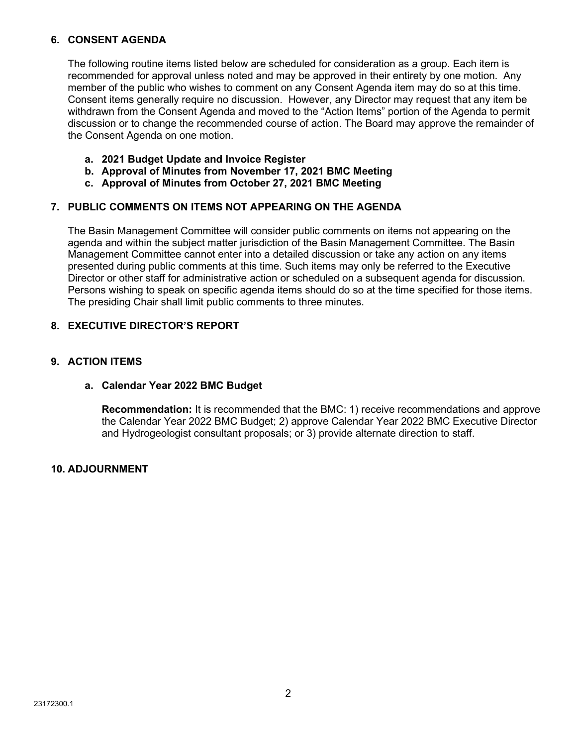## 6. CONSENT AGENDA

The following routine items listed below are scheduled for consideration as a group. Each item is recommended for approval unless noted and may be approved in their entirety by one motion. Any member of the public who wishes to comment on any Consent Agenda item may do so at this time. Consent items generally require no discussion. However, any Director may request that any item be withdrawn from the Consent Agenda and moved to the "Action Items" portion of the Agenda to permit discussion or to change the recommended course of action. The Board may approve the remainder of the Consent Agenda on one motion.

- a. 2021 Budget Update and Invoice Register
- b. Approval of Minutes from November 17, 2021 BMC Meeting
- c. Approval of Minutes from October 27, 2021 BMC Meeting

# 7. PUBLIC COMMENTS ON ITEMS NOT APPEARING ON THE AGENDA

The Basin Management Committee will consider public comments on items not appearing on the agenda and within the subject matter jurisdiction of the Basin Management Committee. The Basin Management Committee cannot enter into a detailed discussion or take any action on any items presented during public comments at this time. Such items may only be referred to the Executive Director or other staff for administrative action or scheduled on a subsequent agenda for discussion. Persons wishing to speak on specific agenda items should do so at the time specified for those items. The presiding Chair shall limit public comments to three minutes.

# 8. EXECUTIVE DIRECTOR'S REPORT

# 9. ACTION ITEMS

### a. Calendar Year 2022 BMC Budget

Recommendation: It is recommended that the BMC: 1) receive recommendations and approve the Calendar Year 2022 BMC Budget; 2) approve Calendar Year 2022 BMC Executive Director and Hydrogeologist consultant proposals; or 3) provide alternate direction to staff.

### 10. ADJOURNMENT